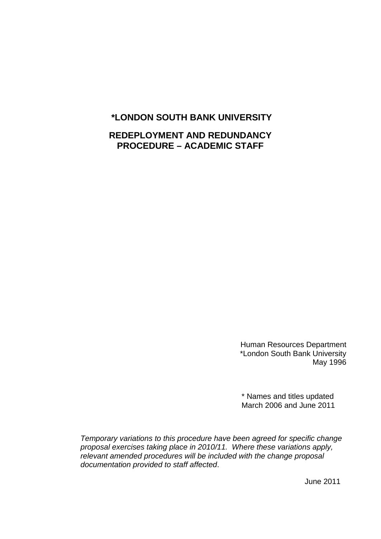# **\*LONDON SOUTH BANK UNIVERSITY**

# **REDEPLOYMENT AND REDUNDANCY PROCEDURE – ACADEMIC STAFF**

Human Resources Department \*London South Bank University May 1996

\* Names and titles updated March 2006 and June 2011

*Temporary variations to this procedure have been agreed for specific change proposal exercises taking place in 2010/11. Where these variations apply, relevant amended procedures will be included with the change proposal documentation provided to staff affected*.

June 2011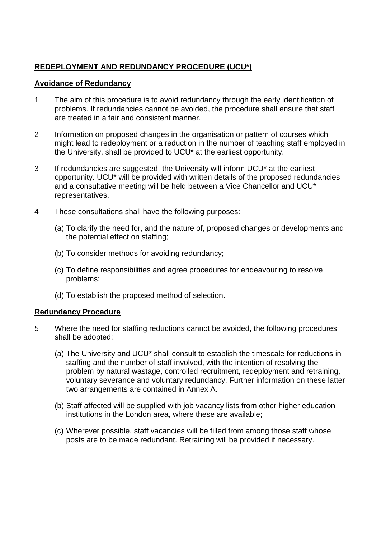# **REDEPLOYMENT AND REDUNDANCY PROCEDURE (UCU\*)**

### **Avoidance of Redundancy**

- 1 The aim of this procedure is to avoid redundancy through the early identification of problems. If redundancies cannot be avoided, the procedure shall ensure that staff are treated in a fair and consistent manner.
- 2 Information on proposed changes in the organisation or pattern of courses which might lead to redeployment or a reduction in the number of teaching staff employed in the University, shall be provided to UCU\* at the earliest opportunity.
- 3 If redundancies are suggested, the University will inform UCU\* at the earliest opportunity. UCU\* will be provided with written details of the proposed redundancies and a consultative meeting will be held between a Vice Chancellor and UCU\* representatives.
- 4 These consultations shall have the following purposes:
	- (a) To clarify the need for, and the nature of, proposed changes or developments and the potential effect on staffing;
	- (b) To consider methods for avoiding redundancy;
	- (c) To define responsibilities and agree procedures for endeavouring to resolve problems;
	- (d) To establish the proposed method of selection.

## **Redundancy Procedure**

- 5 Where the need for staffing reductions cannot be avoided, the following procedures shall be adopted:
	- (a) The University and UCU\* shall consult to establish the timescale for reductions in staffing and the number of staff involved, with the intention of resolving the problem by natural wastage, controlled recruitment, redeployment and retraining, voluntary severance and voluntary redundancy. Further information on these latter two arrangements are contained in Annex A.
	- (b) Staff affected will be supplied with job vacancy lists from other higher education institutions in the London area, where these are available;
	- (c) Wherever possible, staff vacancies will be filled from among those staff whose posts are to be made redundant. Retraining will be provided if necessary.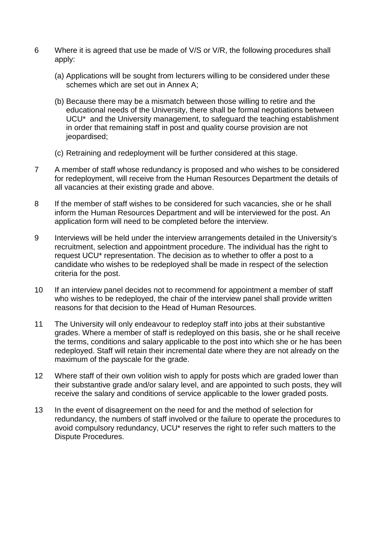- 6 Where it is agreed that use be made of V/S or V/R, the following procedures shall apply:
	- (a) Applications will be sought from lecturers willing to be considered under these schemes which are set out in Annex A;
	- (b) Because there may be a mismatch between those willing to retire and the educational needs of the University, there shall be formal negotiations between UCU\* and the University management, to safeguard the teaching establishment in order that remaining staff in post and quality course provision are not jeopardised;
	- (c) Retraining and redeployment will be further considered at this stage.
- 7 A member of staff whose redundancy is proposed and who wishes to be considered for redeployment, will receive from the Human Resources Department the details of all vacancies at their existing grade and above.
- 8 If the member of staff wishes to be considered for such vacancies, she or he shall inform the Human Resources Department and will be interviewed for the post. An application form will need to be completed before the interview.
- 9 Interviews will be held under the interview arrangements detailed in the University's recruitment, selection and appointment procedure. The individual has the right to request UCU\* representation. The decision as to whether to offer a post to a candidate who wishes to be redeployed shall be made in respect of the selection criteria for the post.
- 10 If an interview panel decides not to recommend for appointment a member of staff who wishes to be redeployed, the chair of the interview panel shall provide written reasons for that decision to the Head of Human Resources.
- 11 The University will only endeavour to redeploy staff into jobs at their substantive grades. Where a member of staff is redeployed on this basis, she or he shall receive the terms, conditions and salary applicable to the post into which she or he has been redeployed. Staff will retain their incremental date where they are not already on the maximum of the payscale for the grade.
- 12 Where staff of their own volition wish to apply for posts which are graded lower than their substantive grade and/or salary level, and are appointed to such posts, they will receive the salary and conditions of service applicable to the lower graded posts.
- 13 In the event of disagreement on the need for and the method of selection for redundancy, the numbers of staff involved or the failure to operate the procedures to avoid compulsory redundancy, UCU\* reserves the right to refer such matters to the Dispute Procedures.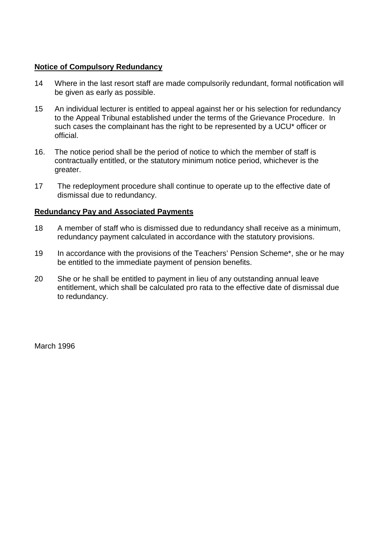### **Notice of Compulsory Redundancy**

- 14 Where in the last resort staff are made compulsorily redundant, formal notification will be given as early as possible.
- 15 An individual lecturer is entitled to appeal against her or his selection for redundancy to the Appeal Tribunal established under the terms of the Grievance Procedure. In such cases the complainant has the right to be represented by a UCU\* officer or official.
- 16. The notice period shall be the period of notice to which the member of staff is contractually entitled, or the statutory minimum notice period, whichever is the greater.
- 17 The redeployment procedure shall continue to operate up to the effective date of dismissal due to redundancy.

### **Redundancy Pay and Associated Payments**

- 18 A member of staff who is dismissed due to redundancy shall receive as a minimum, redundancy payment calculated in accordance with the statutory provisions.
- 19 In accordance with the provisions of the Teachers' Pension Scheme\*, she or he may be entitled to the immediate payment of pension benefits.
- 20 She or he shall be entitled to payment in lieu of any outstanding annual leave entitlement, which shall be calculated pro rata to the effective date of dismissal due to redundancy.

March 1996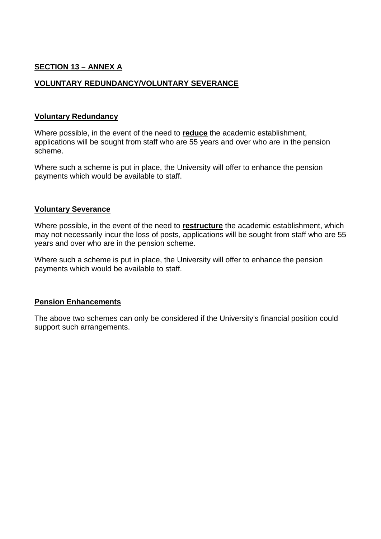# **SECTION 13 – ANNEX A**

### **VOLUNTARY REDUNDANCY/VOLUNTARY SEVERANCE**

#### **Voluntary Redundancy**

Where possible, in the event of the need to **reduce** the academic establishment, applications will be sought from staff who are 55 years and over who are in the pension scheme.

Where such a scheme is put in place, the University will offer to enhance the pension payments which would be available to staff.

#### **Voluntary Severance**

Where possible, in the event of the need to **restructure** the academic establishment, which may not necessarily incur the loss of posts, applications will be sought from staff who are 55 years and over who are in the pension scheme.

Where such a scheme is put in place, the University will offer to enhance the pension payments which would be available to staff.

### **Pension Enhancements**

The above two schemes can only be considered if the University's financial position could support such arrangements.